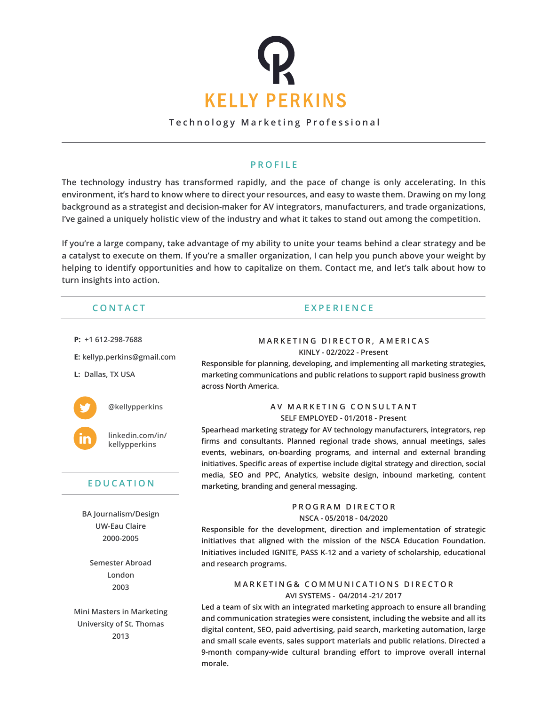

**Technology Marketing Professional**

## **PROFILE**

**The technology industry has transformed rapidly, and the pace of change is only accelerating. In this environment, it's hard to know where to direct your resources, and easy to waste them. Drawing on my long background as a strategist and decision-maker for AV integrators, manufacturers, and trade organizations, I've gained a uniquely holistic view of the industry and what it takes to stand out among the competition.**

**If you're a large company, take advantage of my ability to unite your teams behind a clear strategy and be a catalyst to execute on them. If you're a smaller organization, I can help you punch above your weight by helping to identify opportunities and how to capitalize on them. Contact me, and let's talk about how to turn insights into action.**

| <b>CONTACT</b>                                                                      | <b>EXPERIENCE</b>                                                                                                                                                                                                                                                                                                                                                                                                                                                                              |
|-------------------------------------------------------------------------------------|------------------------------------------------------------------------------------------------------------------------------------------------------------------------------------------------------------------------------------------------------------------------------------------------------------------------------------------------------------------------------------------------------------------------------------------------------------------------------------------------|
| P: $+1612-298-7688$<br>E: kellyp.perkins@gmail.com<br>L: Dallas, TX USA             | MARKETING DIRECTOR, AMERICAS<br>KINLY - 02/2022 - Present<br>Responsible for planning, developing, and implementing all marketing strategies,<br>marketing communications and public relations to support rapid business growth<br>across North America.                                                                                                                                                                                                                                       |
| @kellypperkins<br>linkedin.com/in/<br>kellypperkins                                 | AV MARKETING CONSULTANT<br>SELF EMPLOYED - 01/2018 - Present<br>Spearhead marketing strategy for AV technology manufacturers, integrators, rep<br>firms and consultants. Planned regional trade shows, annual meetings, sales<br>events, webinars, on-boarding programs, and internal and external branding<br>initiatives. Specific areas of expertise include digital strategy and direction, social<br>media, SEO and PPC, Analytics, website design, inbound marketing, content            |
| <b>EDUCATION</b>                                                                    | marketing, branding and general messaging.                                                                                                                                                                                                                                                                                                                                                                                                                                                     |
| <b>BA Journalism/Design</b><br><b>UW-Eau Claire</b><br>2000-2005<br>Semester Abroad | PROGRAM DIRECTOR<br>NSCA - 05/2018 - 04/2020<br>Responsible for the development, direction and implementation of strategic<br>initiatives that aligned with the mission of the NSCA Education Foundation.<br>Initiatives included IGNITE, PASS K-12 and a variety of scholarship, educational<br>and research programs.                                                                                                                                                                        |
| London<br>2003<br>Mini Masters in Marketing<br>University of St. Thomas<br>2013     | MARKETING& COMMUNICATIONS DIRECTOR<br>AVI SYSTEMS - 04/2014 -21/2017<br>Led a team of six with an integrated marketing approach to ensure all branding<br>and communication strategies were consistent, including the website and all its<br>digital content, SEO, paid advertising, paid search, marketing automation, large<br>and small scale events, sales support materials and public relations. Directed a<br>9-month company-wide cultural branding effort to improve overall internal |
|                                                                                     | morale.                                                                                                                                                                                                                                                                                                                                                                                                                                                                                        |